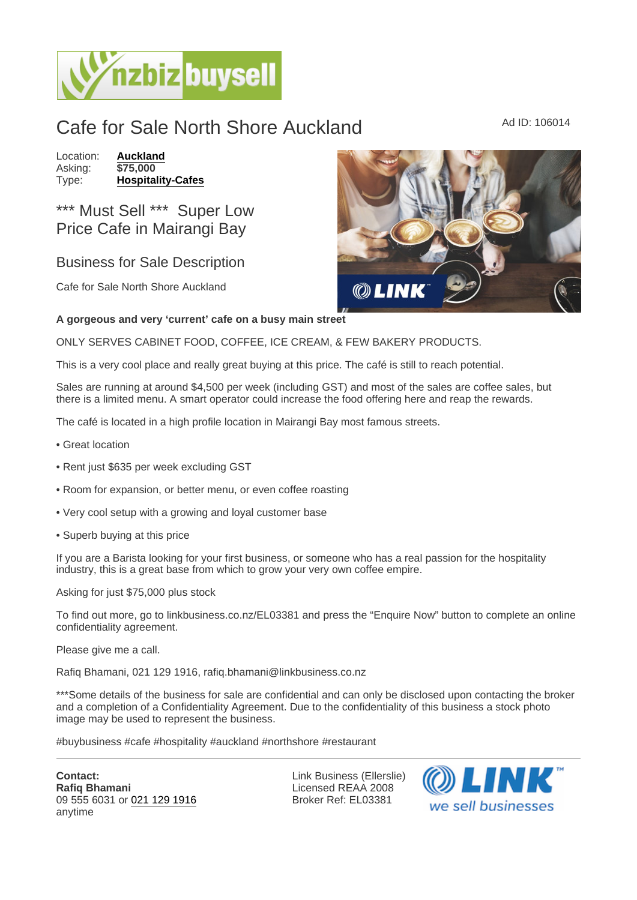## Cafe for Sale North Shore Auckland Ad ID: 106014

Location: [Auckland](https://www.nzbizbuysell.co.nz/businesses-for-sale/location/Auckland) Asking: \$75,000<br>Type: Hospitali [Hospitality-Cafes](https://www.nzbizbuysell.co.nz/businesses-for-sale/Cafes/New-Zealand)

## \*\*\* Must Sell \*\*\* Super Low Price Cafe in Mairangi Bay

## Business for Sale Description

Cafe for Sale North Shore Auckland

A gorgeous and very 'current' cafe on a busy main street

ONLY SERVES CABINET FOOD, COFFEE, ICE CREAM, & FEW BAKERY PRODUCTS.

This is a very cool place and really great buying at this price. The café is still to reach potential.

Sales are running at around \$4,500 per week (including GST) and most of the sales are coffee sales, but there is a limited menu. A smart operator could increase the food offering here and reap the rewards.

The café is located in a high profile location in Mairangi Bay most famous streets.

- Great location
- Rent just \$635 per week excluding GST
- Room for expansion, or better menu, or even coffee roasting
- Very cool setup with a growing and loyal customer base
- Superb buying at this price

If you are a Barista looking for your first business, or someone who has a real passion for the hospitality industry, this is a great base from which to grow your very own coffee empire.

Asking for just \$75,000 plus stock

To find out more, go to linkbusiness.co.nz/EL03381 and press the "Enquire Now" button to complete an online confidentiality agreement.

Please give me a call.

Rafiq Bhamani, 021 129 1916, rafiq.bhamani@linkbusiness.co.nz

\*\*\*Some details of the business for sale are confidential and can only be disclosed upon contacting the broker and a completion of a Confidentiality Agreement. Due to the confidentiality of this business a stock photo image may be used to represent the business.

#buybusiness #cafe #hospitality #auckland #northshore #restaurant

Contact: Rafiq Bhamani 09 555 6031 or [021 129 1916](tel:021 129 1916) anytime

Link Business (Ellerslie) Licensed REAA 2008 Broker Ref: EL03381